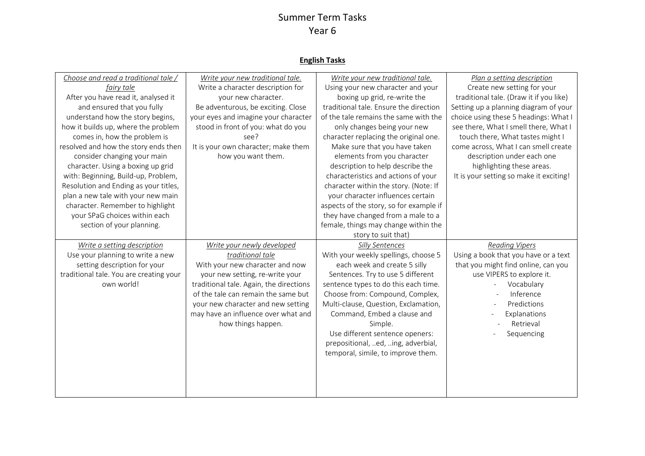#### **English Tasks**

| Choose and read a traditional tale /<br>fairy tale<br>After you have read it, analysed it<br>and ensured that you fully<br>understand how the story begins,<br>how it builds up, where the problem<br>comes in, how the problem is<br>resolved and how the story ends then<br>consider changing your main<br>character. Using a boxing up grid<br>with: Beginning, Build-up, Problem,<br>Resolution and Ending as your titles,<br>plan a new tale with your new main | Write your new traditional tale.<br>Write a character description for<br>your new character.<br>Be adventurous, be exciting. Close<br>your eyes and imagine your character<br>stood in front of you: what do you<br>see?<br>It is your own character; make them<br>how you want them.                     | Write your new traditional tale.<br>Using your new character and your<br>boxing up grid, re-write the<br>traditional tale. Ensure the direction<br>of the tale remains the same with the<br>only changes being your new<br>character replacing the original one.<br>Make sure that you have taken<br>elements from you character<br>description to help describe the<br>characteristics and actions of your<br>character within the story. (Note: If<br>your character influences certain | Plan a setting description<br>Create new setting for your<br>traditional tale. (Draw it if you like)<br>Setting up a planning diagram of your<br>choice using these 5 headings: What I<br>see there, What I smell there, What I<br>touch there, What tastes might I<br>come across, What I can smell create<br>description under each one<br>highlighting these areas.<br>It is your setting so make it exciting! |
|----------------------------------------------------------------------------------------------------------------------------------------------------------------------------------------------------------------------------------------------------------------------------------------------------------------------------------------------------------------------------------------------------------------------------------------------------------------------|-----------------------------------------------------------------------------------------------------------------------------------------------------------------------------------------------------------------------------------------------------------------------------------------------------------|-------------------------------------------------------------------------------------------------------------------------------------------------------------------------------------------------------------------------------------------------------------------------------------------------------------------------------------------------------------------------------------------------------------------------------------------------------------------------------------------|-------------------------------------------------------------------------------------------------------------------------------------------------------------------------------------------------------------------------------------------------------------------------------------------------------------------------------------------------------------------------------------------------------------------|
| character. Remember to highlight<br>your SPaG choices within each<br>section of your planning.                                                                                                                                                                                                                                                                                                                                                                       |                                                                                                                                                                                                                                                                                                           | aspects of the story, so for example if<br>they have changed from a male to a<br>female, things may change within the<br>story to suit that)                                                                                                                                                                                                                                                                                                                                              |                                                                                                                                                                                                                                                                                                                                                                                                                   |
| Write a setting description<br>Use your planning to write a new<br>setting description for your<br>traditional tale. You are creating your<br>own world!                                                                                                                                                                                                                                                                                                             | Write your newly developed<br>traditional tale<br>With your new character and now<br>your new setting, re-write your<br>traditional tale. Again, the directions<br>of the tale can remain the same but<br>your new character and new setting<br>may have an influence over what and<br>how things happen. | Silly Sentences<br>With your weekly spellings, choose 5<br>each week and create 5 silly<br>Sentences. Try to use 5 different<br>sentence types to do this each time.<br>Choose from: Compound, Complex,<br>Multi-clause, Question, Exclamation,<br>Command, Embed a clause and<br>Simple.<br>Use different sentence openers:<br>prepositional, ed, ing, adverbial,<br>temporal, simile, to improve them.                                                                                  | <b>Reading Vipers</b><br>Using a book that you have or a text<br>that you might find online, can you<br>use VIPERS to explore it.<br>Vocabulary<br>Inference<br>Predictions<br>Explanations<br>Retrieval<br>Sequencing                                                                                                                                                                                            |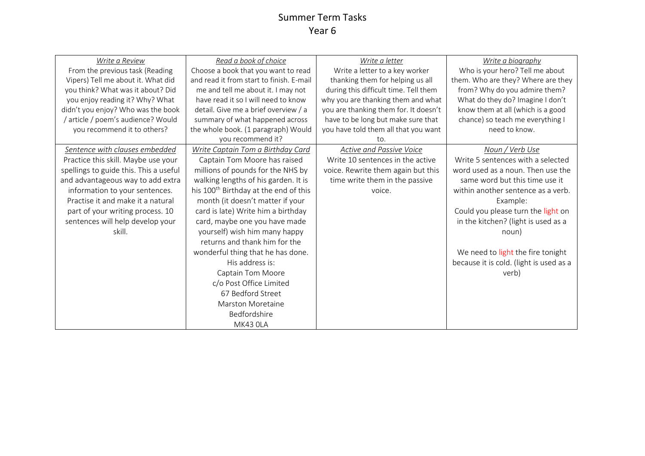| Write a Review                         | Read a book of choice                             | Write a letter                        | Write a biography                       |
|----------------------------------------|---------------------------------------------------|---------------------------------------|-----------------------------------------|
| From the previous task (Reading        | Choose a book that you want to read               | Write a letter to a key worker        | Who is your hero? Tell me about         |
| Vipers) Tell me about it. What did     | and read it from start to finish. E-mail          | thanking them for helping us all      | them. Who are they? Where are they      |
| you think? What was it about? Did      | me and tell me about it. I may not                | during this difficult time. Tell them | from? Why do you admire them?           |
| you enjoy reading it? Why? What        | have read it so I will need to know               | why you are thanking them and what    | What do they do? Imagine I don't        |
| didn't you enjoy? Who was the book     | detail. Give me a brief overview / a              | you are thanking them for. It doesn't | know them at all (which is a good       |
| / article / poem's audience? Would     | summary of what happened across                   | have to be long but make sure that    | chance) so teach me everything I        |
| you recommend it to others?            | the whole book. (1 paragraph) Would               | you have told them all that you want  | need to know.                           |
|                                        | you recommend it?                                 | to.                                   |                                         |
| Sentence with clauses embedded         | Write Captain Tom a Birthday Card                 | <b>Active and Passive Voice</b>       | Noun / Verb Use                         |
| Practice this skill. Maybe use your    | Captain Tom Moore has raised                      | Write 10 sentences in the active      | Write 5 sentences with a selected       |
| spellings to guide this. This a useful | millions of pounds for the NHS by                 | voice. Rewrite them again but this    | word used as a noun. Then use the       |
| and advantageous way to add extra      | walking lengths of his garden. It is              | time write them in the passive        | same word but this time use it          |
| information to your sentences.         | his 100 <sup>th</sup> Birthday at the end of this | voice.                                | within another sentence as a verb.      |
| Practise it and make it a natural      | month (it doesn't matter if your                  |                                       | Example:                                |
| part of your writing process. 10       | card is late) Write him a birthday                |                                       | Could you please turn the light on      |
| sentences will help develop your       | card, maybe one you have made                     |                                       | in the kitchen? (light is used as a     |
| skill.                                 | yourself) wish him many happy                     |                                       | noun)                                   |
|                                        | returns and thank him for the                     |                                       |                                         |
|                                        | wonderful thing that he has done.                 |                                       | We need to light the fire tonight       |
|                                        | His address is:                                   |                                       | because it is cold. (light is used as a |
|                                        | Captain Tom Moore                                 |                                       | verb)                                   |
|                                        | c/o Post Office Limited                           |                                       |                                         |
|                                        | 67 Bedford Street                                 |                                       |                                         |
|                                        | <b>Marston Moretaine</b>                          |                                       |                                         |
|                                        | Bedfordshire                                      |                                       |                                         |
|                                        | MK43 OLA                                          |                                       |                                         |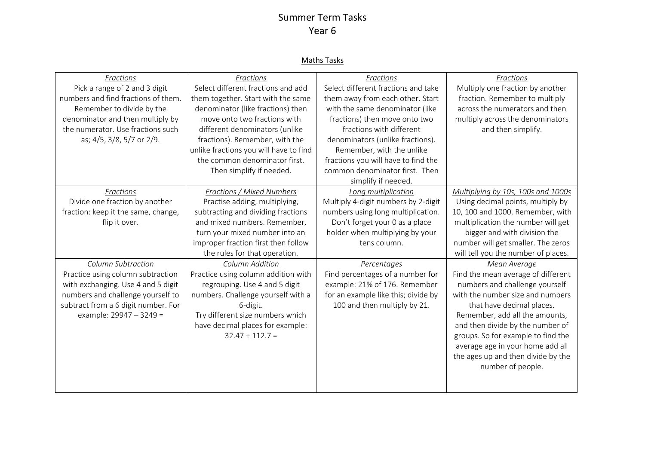#### Maths Tasks

| Fractions                           | Fractions                              | Fractions                           | Fractions                           |
|-------------------------------------|----------------------------------------|-------------------------------------|-------------------------------------|
| Pick a range of 2 and 3 digit       | Select different fractions and add     | Select different fractions and take | Multiply one fraction by another    |
| numbers and find fractions of them. | them together. Start with the same     | them away from each other. Start    | fraction. Remember to multiply      |
| Remember to divide by the           | denominator (like fractions) then      | with the same denominator (like     | across the numerators and then      |
| denominator and then multiply by    | move onto two fractions with           | fractions) then move onto two       | multiply across the denominators    |
| the numerator. Use fractions such   | different denominators (unlike         | fractions with different            | and then simplify.                  |
| as; 4/5, 3/8, 5/7 or 2/9.           | fractions). Remember, with the         | denominators (unlike fractions).    |                                     |
|                                     | unlike fractions you will have to find | Remember, with the unlike           |                                     |
|                                     | the common denominator first.          | fractions you will have to find the |                                     |
|                                     | Then simplify if needed.               | common denominator first. Then      |                                     |
|                                     |                                        | simplify if needed.                 |                                     |
| Fractions                           | Fractions / Mixed Numbers              | Long multiplication                 | Multiplying by 10s, 100s and 1000s  |
| Divide one fraction by another      | Practise adding, multiplying,          | Multiply 4-digit numbers by 2-digit | Using decimal points, multiply by   |
| fraction: keep it the same, change, | subtracting and dividing fractions     | numbers using long multiplication.  | 10, 100 and 1000. Remember, with    |
| flip it over.                       | and mixed numbers. Remember,           | Don't forget your 0 as a place      | multiplication the number will get  |
|                                     | turn your mixed number into an         | holder when multiplying by your     | bigger and with division the        |
|                                     | improper fraction first then follow    | tens column.                        | number will get smaller. The zeros  |
|                                     | the rules for that operation.          |                                     | will tell you the number of places. |
| Column Subtraction                  | Column Addition                        | Percentages                         | Mean Average                        |
| Practice using column subtraction   | Practice using column addition with    | Find percentages of a number for    | Find the mean average of different  |
| with exchanging. Use 4 and 5 digit  | regrouping. Use 4 and 5 digit          | example: 21% of 176. Remember       | numbers and challenge yourself      |
| numbers and challenge yourself to   | numbers. Challenge yourself with a     | for an example like this; divide by | with the number size and numbers    |
| subtract from a 6 digit number. For | 6-digit.                               | 100 and then multiply by 21.        | that have decimal places.           |
| example: 29947 - 3249 =             | Try different size numbers which       |                                     | Remember, add all the amounts,      |
|                                     | have decimal places for example:       |                                     | and then divide by the number of    |
|                                     | $32.47 + 112.7 =$                      |                                     | groups. So for example to find the  |
|                                     |                                        |                                     | average age in your home add all    |
|                                     |                                        |                                     | the ages up and then divide by the  |
|                                     |                                        |                                     | number of people.                   |
|                                     |                                        |                                     |                                     |
|                                     |                                        |                                     |                                     |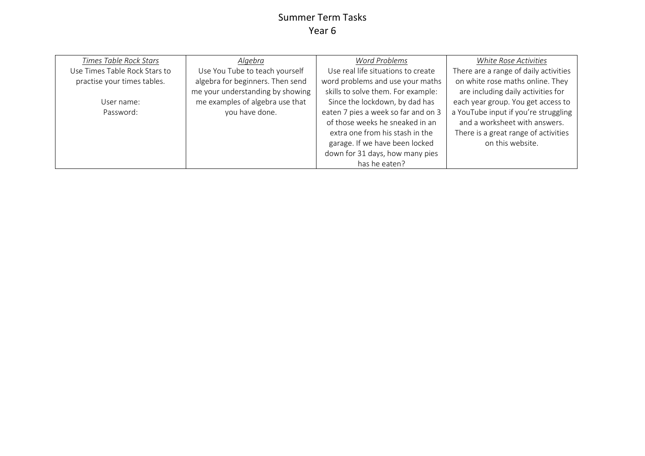| <b>Times Table Rock Stars</b> | Algebra                          | <b>Word Problems</b>                | White Rose Activities                 |
|-------------------------------|----------------------------------|-------------------------------------|---------------------------------------|
| Use Times Table Rock Stars to | Use You Tube to teach yourself   | Use real life situations to create  | There are a range of daily activities |
| practise your times tables.   | algebra for beginners. Then send | word problems and use your maths    | on white rose maths online. They      |
|                               | me your understanding by showing | skills to solve them. For example:  | are including daily activities for    |
| User name:                    | me examples of algebra use that  | Since the lockdown, by dad has      | each year group. You get access to    |
| Password:                     | you have done.                   | eaten 7 pies a week so far and on 3 | a YouTube input if you're struggling  |
|                               |                                  | of those weeks he sneaked in an     | and a worksheet with answers.         |
|                               |                                  | extra one from his stash in the     | There is a great range of activities  |
|                               |                                  | garage. If we have been locked      | on this website.                      |
|                               |                                  | down for 31 days, how many pies     |                                       |
|                               |                                  | has he eaten?                       |                                       |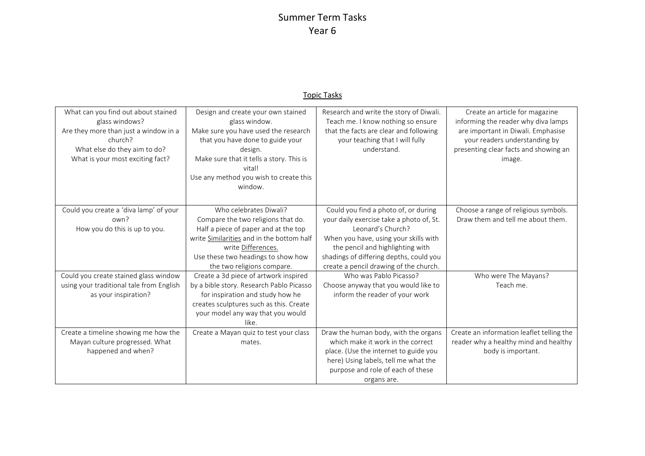#### Topic Tasks

| What can you find out about stained<br>glass windows?<br>Are they more than just a window in a<br>church?<br>What else do they aim to do?<br>What is your most exciting fact? | Design and create your own stained<br>glass window.<br>Make sure you have used the research<br>that you have done to guide your<br>design.<br>Make sure that it tells a story. This is<br>vital!<br>Use any method you wish to create this<br>window. | Research and write the story of Diwali.<br>Teach me. I know nothing so ensure<br>that the facts are clear and following<br>your teaching that I will fully<br>understand.                                                                                               | Create an article for magazine<br>informing the reader why diva lamps<br>are important in Diwali. Emphasise<br>your readers understanding by<br>presenting clear facts and showing an<br>image. |
|-------------------------------------------------------------------------------------------------------------------------------------------------------------------------------|-------------------------------------------------------------------------------------------------------------------------------------------------------------------------------------------------------------------------------------------------------|-------------------------------------------------------------------------------------------------------------------------------------------------------------------------------------------------------------------------------------------------------------------------|-------------------------------------------------------------------------------------------------------------------------------------------------------------------------------------------------|
| Could you create a 'diva lamp' of your<br>own?<br>How you do this is up to you.                                                                                               | Who celebrates Diwali?<br>Compare the two religions that do.<br>Half a piece of paper and at the top<br>write Similarities and in the bottom half<br>write Differences.<br>Use these two headings to show how<br>the two religions compare.           | Could you find a photo of, or during<br>your daily exercise take a photo of, St.<br>Leonard's Church?<br>When you have, using your skills with<br>the pencil and highlighting with<br>shadings of differing depths, could you<br>create a pencil drawing of the church. | Choose a range of religious symbols.<br>Draw them and tell me about them.                                                                                                                       |
| Could you create stained glass window<br>using your traditional tale from English<br>as your inspiration?                                                                     | Create a 3d piece of artwork inspired<br>by a bible story. Research Pablo Picasso<br>for inspiration and study how he<br>creates sculptures such as this. Create<br>your model any way that you would<br>like.                                        | Who was Pablo Picasso?<br>Choose anyway that you would like to<br>inform the reader of your work                                                                                                                                                                        | Who were The Mayans?<br>Teach me.                                                                                                                                                               |
| Create a timeline showing me how the<br>Mayan culture progressed. What<br>happened and when?                                                                                  | Create a Mayan quiz to test your class<br>mates.                                                                                                                                                                                                      | Draw the human body, with the organs<br>which make it work in the correct<br>place. (Use the internet to guide you<br>here) Using labels, tell me what the<br>purpose and role of each of these<br>organs are.                                                          | Create an information leaflet telling the<br>reader why a healthy mind and healthy<br>body is important.                                                                                        |